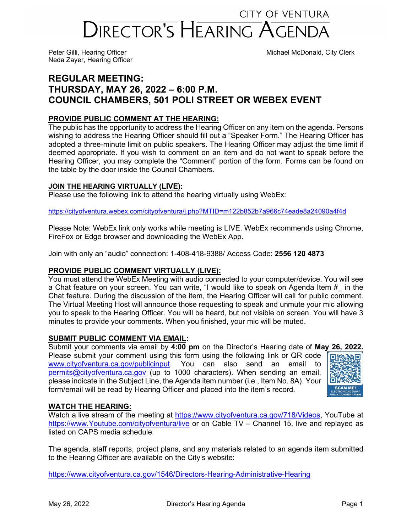# **CITY OF VENTURA** DIRECTOR'S HEARING AGENDA

Neda Zayer, Hearing Officer

Peter Gilli, Hearing Officer Michael McDonald, City Clerk

# **REGULAR MEETING: THURSDAY, MAY 26, 2022 – 6:00 P.M. COUNCIL CHAMBERS, 501 POLI STREET OR WEBEX EVENT**

# **PROVIDE PUBLIC COMMENT AT THE HEARING:**

The public has the opportunity to address the Hearing Officer on any item on the agenda. Persons wishing to address the Hearing Officer should fill out a "Speaker Form." The Hearing Officer has adopted a three-minute limit on public speakers. The Hearing Officer may adjust the time limit if deemed appropriate. If you wish to comment on an item and do not want to speak before the Hearing Officer, you may complete the "Comment" portion of the form. Forms can be found on the table by the door inside the Council Chambers.

# **JOIN THE HEARING VIRTUALLY (LIVE):**

Please use the following link to attend the hearing virtually using WebEx:

<https://cityofventura.webex.com/cityofventura/j.php?MTID=m122b852b7a966c74eade8a24090a4f4d>

Please Note: WebEx link only works while meeting is LIVE. WebEx recommends using Chrome, FireFox or Edge browser and downloading the WebEx App.

Join with only an "audio" connection: 1-408-418-9388/ Access Code: **2556 120 4873**

# **PROVIDE PUBLIC COMMENT VIRTUALLY (LIVE):**

You must attend the WebEx Meeting with audio connected to your computer/device. You will see a Chat feature on your screen. You can write, "I would like to speak on Agenda Item #\_ in the Chat feature. During the discussion of the item, the Hearing Officer will call for public comment. The Virtual Meeting Host will announce those requesting to speak and unmute your mic allowing you to speak to the Hearing Officer. You will be heard, but not visible on screen. You will have 3 minutes to provide your comments. When you finished, your mic will be muted.

# **SUBMIT PUBLIC COMMENT VIA EMAIL:**

Submit your comments via email by **4:00 pm** on the Director's Hearing date of **May 26, 2022.**  Please submit your comment using this form using the following link or QR code [www.cityofventura.ca.gov/publicinput.](http://www.cityofventura.ca.gov/publicinput) You can also send an email to [permits@cityofventura.ca.gov](mailto:permits@cityofventura.ca.gov) (up to 1000 characters). When sending an email, please indicate in the Subject Line, the Agenda item number (i.e., Item No. 8A). Your form/email will be read by Hearing Officer and placed into the item's record.



# **WATCH THE HEARING:**

Watch a live stream of the meeting at [https://www.cityofventura.ca.gov/718/Videos,](https://www.cityofventura.ca.gov/718/Videos) YouTube at [https://www.Youtube.com/cityofventura/live](https://www.youtube.com/cityofventura/live) or on Cable TV – Channel 15, live and replayed as listed on CAPS media schedule.

The agenda, staff reports, project plans, and any materials related to an agenda item submitted to the Hearing Officer are available on the City's website:

<https://www.cityofventura.ca.gov/1546/Directors-Hearing-Administrative-Hearing>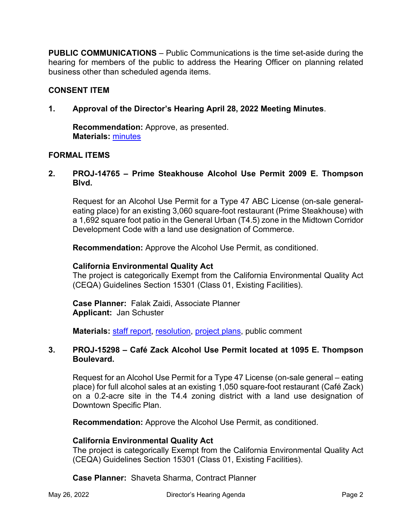**PUBLIC COMMUNICATIONS** – Public Communications is the time set-aside during the hearing for members of the public to address the Hearing Officer on planning related business other than scheduled agenda items.

# **CONSENT ITEM**

**1. Approval of the Director's Hearing April 28, 2022 Meeting Minutes**.

**Recommendation:** Approve, as presented. **Materials:** [minutes](https://www.cityofventura.ca.gov/DocumentCenter/View/31665/DH-Draft-minutes-04-28-22)

# **FORMAL ITEMS**

# **2. PROJ-14765 – Prime Steakhouse Alcohol Use Permit 2009 E. Thompson Blvd.**

Request for an Alcohol Use Permit for a Type 47 ABC License (on-sale generaleating place) for an existing 3,060 square-foot restaurant (Prime Steakhouse) with a 1,692 square foot patio in the General Urban (T4.5) zone in the Midtown Corridor Development Code with a land use designation of Commerce.

**Recommendation:** Approve the Alcohol Use Permit, as conditioned.

#### **California Environmental Quality Act**

The project is categorically Exempt from the California Environmental Quality Act (CEQA) Guidelines Section 15301 (Class 01, Existing Facilities).

**Case Planner:** Falak Zaidi, Associate Planner **Applicant:** Jan Schuster

**Materials: [staff report,](https://www.cityofventura.ca.gov/DocumentCenter/View/31669/PROJ-14765_Prime-Steakhouse_Staff-Report-1) [resolution,](https://www.cityofventura.ca.gov/DocumentCenter/View/31670/PROJ-14765_Prime-Steakhouse-AUP-Resolution) [project plans,](https://www.cityofventura.ca.gov/DocumentCenter/View/31676/Exhibit-A--Project-Plans-1) public comment** 

#### **3. PROJ-15298 – Café Zack Alcohol Use Permit located at 1095 E. Thompson Boulevard.**

Request for an Alcohol Use Permit for a Type 47 License (on-sale general – eating place) for full alcohol sales at an existing 1,050 square-foot restaurant (Café Zack) on a 0.2-acre site in the T4.4 zoning district with a land use designation of Downtown Specific Plan.

**Recommendation:** Approve the Alcohol Use Permit, as conditioned.

# **California Environmental Quality Act**

The project is categorically Exempt from the California Environmental Quality Act (CEQA) Guidelines Section 15301 (Class 01, Existing Facilities).

**Case Planner:** Shaveta Sharma, Contract Planner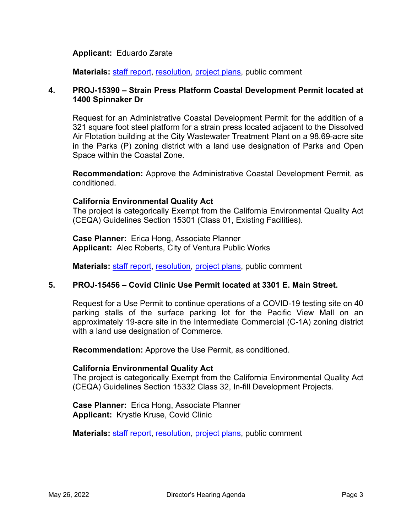#### **Applicant:** Eduardo Zarate

**Materials: [staff report,](https://www.cityofventura.ca.gov/DocumentCenter/View/31685/PROJ-15298_Cafe-Zack_Staff-Report) [resolution,](https://www.cityofventura.ca.gov/DocumentCenter/View/31683/PROJ-15298-Cafe-Zack-Resolution) [project plans,](https://www.cityofventura.ca.gov/DocumentCenter/View/31684/Exhibit-A---ZACK-CAFE---Plan-set-4192022) public comment** 

#### **4. PROJ-15390 – Strain Press Platform Coastal Development Permit located at 1400 Spinnaker Dr**

Request for an Administrative Coastal Development Permit for the addition of a 321 square foot steel platform for a strain press located adjacent to the Dissolved Air Flotation building at the City Wastewater Treatment Plant on a 98.69-acre site in the Parks (P) zoning district with a land use designation of Parks and Open Space within the Coastal Zone.

**Recommendation:** Approve the Administrative Coastal Development Permit, as conditioned.

#### **California Environmental Quality Act**

The project is categorically Exempt from the California Environmental Quality Act (CEQA) Guidelines Section 15301 (Class 01, Existing Facilities).

**Case Planner:** Erica Hong, Associate Planner **Applicant:** Alec Roberts, City of Ventura Public Works

**Materials: [staff report,](https://www.cityofventura.ca.gov/DocumentCenter/View/31680/Proj-15390-Staff-report-and-Map) [resolution,](https://www.cityofventura.ca.gov/DocumentCenter/View/31681/PROJ-15390_-1400-Spinnaker_Resolution) [project plans,](https://www.cityofventura.ca.gov/DocumentCenter/View/31682/Proj-15390-Exhibit-A---Plans-1) public comment** 

#### **5. PROJ-15456 – Covid Clinic Use Permit located at 3301 E. Main Street.**

Request for a Use Permit to continue operations of a COVID-19 testing site on 40 parking stalls of the surface parking lot for the Pacific View Mall on an approximately 19-acre site in the Intermediate Commercial (C-1A) zoning district with a land use designation of Commerce.

**Recommendation:** Approve the Use Permit, as conditioned.

#### **California Environmental Quality Act**

The project is categorically Exempt from the California Environmental Quality Act (CEQA) Guidelines Section 15332 Class 32, In-fill Development Projects.

**Case Planner:** Erica Hong, Associate Planner **Applicant:** Krystle Kruse, Covid Clinic

**Materials: [staff report,](https://www.cityofventura.ca.gov/DocumentCenter/View/31679/Proj-15456-Report-and-Map) [resolution,](https://www.cityofventura.ca.gov/DocumentCenter/View/31677/PROJ-15456_Covid-Clinic_Resolution) [project plans,](https://www.cityofventura.ca.gov/DocumentCenter/View/31678/Proj-15456-Exhibit-A---Plans) public comment**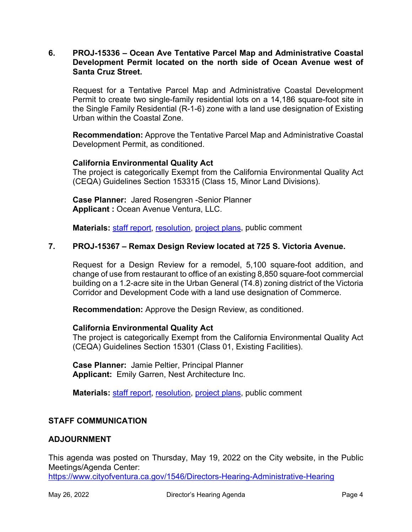#### **6. PROJ-15336 – Ocean Ave Tentative Parcel Map and Administrative Coastal Development Permit located on the north side of Ocean Avenue west of Santa Cruz Street.**

Request for a Tentative Parcel Map and Administrative Coastal Development Permit to create two single-family residential lots on a 14,186 square-foot site in the Single Family Residential (R-1-6) zone with a land use designation of Existing Urban within the Coastal Zone.

**Recommendation:** Approve the Tentative Parcel Map and Administrative Coastal Development Permit, as conditioned.

#### **California Environmental Quality Act**

The project is categorically Exempt from the California Environmental Quality Act (CEQA) Guidelines Section 153315 (Class 15, Minor Land Divisions).

**Case Planner:** Jared Rosengren -Senior Planner **Applicant :** Ocean Avenue Ventura, LLC.

**Materials:** [staff report,](https://www.cityofventura.ca.gov/DocumentCenter/View/31673/PROJ-15336-Staff-report-and-map) [resolution,](https://www.cityofventura.ca.gov/DocumentCenter/View/31674/PROJ-15356-Ocean-Ave-TPM-Resolution) [project plans,](https://www.cityofventura.ca.gov/DocumentCenter/View/31675/Proj-15336-Exhibit-A---TPM) public comment

#### **7. PROJ-15367 – Remax Design Review located at 725 S. Victoria Avenue.**

Request for a Design Review for a remodel, 5,100 square-foot addition, and change of use from restaurant to office of an existing 8,850 square-foot commercial building on a 1.2-acre site in the Urban General (T4.8) zoning district of the Victoria Corridor and Development Code with a land use designation of Commerce.

**Recommendation:** Approve the Design Review, as conditioned.

#### **California Environmental Quality Act**

The project is categorically Exempt from the California Environmental Quality Act (CEQA) Guidelines Section 15301 (Class 01, Existing Facilities).

**Case Planner:** Jamie Peltier, Principal Planner **Applicant:** Emily Garren, Nest Architecture Inc.

**Materials:** [staff report,](https://www.cityofventura.ca.gov/DocumentCenter/View/31689/PROJ-15367_Remax_dh-sr) [resolution,](https://www.cityofventura.ca.gov/DocumentCenter/View/31690/PROJ-15367_Remax_reso) [project plans,](https://www.cityofventura.ca.gov/DocumentCenter/View/31691/Exhibit-A-Remax-Plans) public comment

#### **STAFF COMMUNICATION**

#### **ADJOURNMENT**

This agenda was posted on Thursday, May 19, 2022 on the City website, in the Public Meetings/Agenda Center: <https://www.cityofventura.ca.gov/1546/Directors-Hearing-Administrative-Hearing>